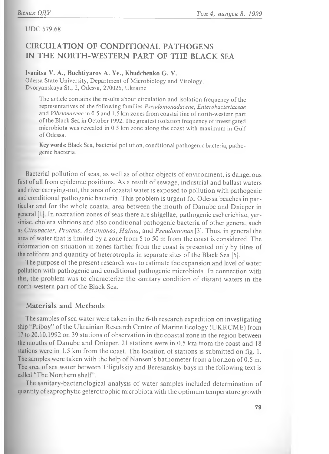UDC 579.68

# **CIRCULATION OF CONDITIONAL PATHOGENS IN THE NORTH-WESTERN PART OF THE BLACK SEA**

### Ivanitsa V. A., Buchtiyarov A. Ye., Khudchenko G. V.

Odessa State University, Department of Microbiology and Virology, Dvoryanskaya St., 2, Odessa, 270026, Ukraine

The article contains the results about circulation and isolation frequency of the representatives of the following families *Pseudomonadaceae*, *Enterobacteriaceae* and *Vibrionaceae* in 0.5 and 1.5 km zones from coastal line of north-western part of the Black Sea in October 1992. The greatest isolation frequency of investigated microbiota was revealed in 0.5 km zone along the coast with maximum in Gulf of Odessa.

**Key words:** Black Sea, bacterial pollution, conditional pathogenic bacteria, pathogenic bacteria.

Bacterial pollution of seas, as well as of other objects of environment, is dangerous first of all from epidemic positions. As a result of sewage, industrial and ballast waters and river carrying-out, the area of coastal water is exposed to pollution with pathogenic and conditional pathogenic bacteria. This problem is urgent for Odessa beaches in particular and for the whole coastal area between the mouth of Danube and Dnieper in general [1]. In recreation zones of seas there are shigellae, pathogenic escherichiae, yersiniae, cholera vibrions and also conditional pathogenic bacteria of other genera, such as *Citrobacter*, *Proteus*, *Aeromonas*, *H afnia*, and *Pseudomonas* [3]. Thus, in general the area of water that is limited by a zone from 5 to 50 m from the coast is considered. The information on situation in zones farther from the coast is presented only by titres of the coliform and quantity of heterotrophs in separate sites of the Black Sea [5].

The purpose of the present research was to estimate the expansion and level of water pollution with pathogenic and conditional pathogenic microbiota. In connection with this, the problem was to characterize the sanitary condition of distant waters in the north-western part of the Black Sea.

### **Materials and Methods**

The samples of sea water were taken in the 6-th research expedition on investigating ship "Priboy" of the Ukrainian Research Centre of Marine Ecology (UKRCME) from 17 to 20.10.1992 on 39 stations of observation in the coastal zone in the region between the mouths of Danube and Dnieper. 21 stations were in  $0.5$  km from the coast and 18 stations were in 1.5 km from the coast. The location of stations is submitted on fig. 1. The samples were taken with the help of Nansen's bathometer from a horizon of 0.5 m. The area of sea water between Tiligulskiy and Beresanskiy bays in the following text is called "The Northern shelf".

The sanitary-bacteriological analysis of water samples included determination of quantity of saprophytic geterotrophic microbiota with the optimum temperature growth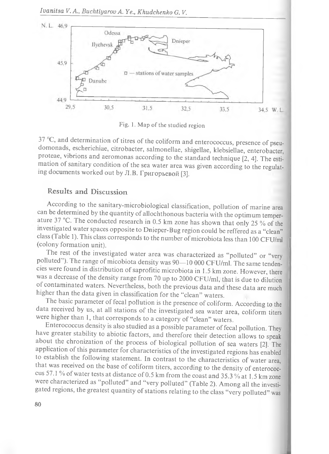

Fig. 1. Map of the studied region

 $37 \text{ °C}$ , and determination of titres of the coliform and enterococcus, presence of pseudom onads, escherichiae, citrobacter, salm onellae, shigellae, klebsiellae, enterobacter, proteae, vibrions and aeromonas according to the standard technique [2, 4]. The estimation of sanitary condition of the sea water area was given according to the regulating documents worked out by Л.В. Григорьевой [3].

## **Results and Discussion**

According to the sanitary-microbiological classification, pollution of marine area can be determined by the quantity of allochthonous bacteria with the optimum temperature 37 °С. The conducted research in 0.5 km zone has shown that only 25 % of the investigated water spaces opposite to Dnieper-Bug region could be reffered as a "clean" class (Table 1). This class corresponds to the number of microbiota less than 100 CFU/ml (colony formation unit).

The rest of the investigated water area was characterized as "polluted" or "very polluted"). The range of micobiota density was 90-10 000 CFU/ml. The same tendencies were found in distribution of saprofitic microbiota in 1.5 km zone. However, there was a decrease of the density range from 70 up to 2000 CFU/ml, that is due to dilution of contaminated waters. Nevertheless, both the previous data and these data are much higher than the data given in classification for the "clean" waters.

The basic parameter of fecal pollution is the presence of coliform. According to the data received by us, at all stations of the investigated sea water area, coliform titers were higher than 1, that corresponds to a category of "clean" waters.

Enterococcus density is also studied as a possible parameter of fecal pollution. They have greater stability to abiotic factors, and therefore their detection allows to speak about the chronization of the process of biological pollution of sea waters [2]. The application of this parameter for characteristics of the investigated regions has enabled to establish the following statement. In contrast to the characteristics of water area, that was received on the base of coliform titers, according to the density of enterococcus 57.1 % of water tests at distance of 0.5 km from the coast and 35.3 % at 1.5 km zone were characterized as "polluted" and "very polluted" (Table 2). Among all the investigated regions, the greatest quantity of stations relating to the class "very polluted" was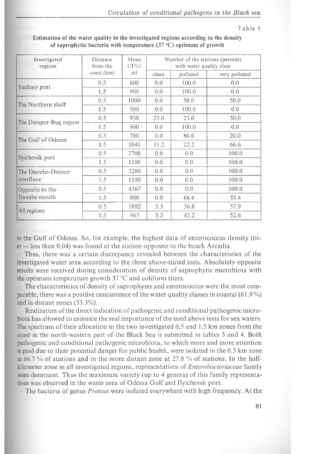#### Table 1

| Investigated<br>regions | Distance<br>from the | Mean<br>CFU/ |       | Number of the stations (percent)<br>with water quality class |               |
|-------------------------|----------------------|--------------|-------|--------------------------------------------------------------|---------------|
|                         | coast (km)           | ml           | clean | polluted                                                     | very polluted |
| Yuzhniy port            | 0.5                  | 600          | 0.0   | 100.0                                                        | 0.0           |
|                         | 1.5                  | 900          | 0.0   | 100.0                                                        | 0.0           |
| The Northern shelf      | 0.5                  | 1000         | 0.0   | 50.0                                                         | 50.0          |
|                         | 1.5                  | 500          | 0.0   | 100.0                                                        | 0.0           |
|                         | 0.5                  | 938          | 25.0  | 25.0                                                         | 50.0          |
| The Dnieper-Bug region  | 1.5                  | 900          | 0.0   | 100.0                                                        | 0.0           |
| The Gulf of Odessa      | 0.5                  | 780          | 0.0   | 80.0                                                         | 20.0          |
|                         | 1.5                  | 1041         | 11.2  | 22.2                                                         | 66.6          |
| Ilyichevsk port         | 0.5                  | 2700         | 0.0   | 0.0                                                          | 100.0         |
|                         | 1.5                  | 1100         | 0.0   | 0.0                                                          | 100.0         |
| The Danube-Dnister      | 0.5                  | 3200         | 0.0   | 0.0                                                          | 100.0         |
| interfluve              | 1.5                  | 1350         | 0.0   | 0.0                                                          | 100.0         |
| Opposite to the         | 0.5                  | 4567         | 0.0   | 0.0                                                          | 100.0         |
| Danube mouth            | 1.5                  | 800          | 0.0   | 66.6                                                         | 33.4          |
|                         | 0.5                  | 1882         | 5.3   | 36.8                                                         | 57.9          |
| All regions             | 1.5                  | 967          | 5.2   | 42.2                                                         | 52.6          |

**Estimation of the water quality in the investigated regions according to the density of saprophytic bacteria with temperature (37 °С) optimum of growth**

in the Gulf of Odessa. So, for example, the highest data of enterococcus density (tit $er$  = less than 0,04) was found at the station opposite to the beach Arcadia.

Thus, there was a certain discrepancy revealed between the characteristics of the investigated water area according to the three above-stated tests. Absolutely opposite results were received during consideration of density of saprophytic microbiota with the optimum temperature growth  $37 \degree C$  and coliform titers.

The characteristics of density of saprophytes and enterococcus were the most comparable, there was a positive concurrence of the water quality classes in coastal  $(61.9\%)$ and in distant zones (33.3%).

Realization of the direct indication of pathogenic and conditional pathogenic microbiota has allowed to estimate the real importance of the used above tests for sea waters. The spectrum of their allocation in the two investigated  $0.5$  and  $1.5$  km zones from the coast in the north-western part of the Black Sea is submitted in tables 3 and 4. Both pathogenic and conditional pathogenic microbiota, to which more and more attention is paid due to their potential danger for public health, were isolated in the 0.5 km zone at 66.7 % of stations and in the more distant zone at 27.8 % of stations. In the halfkilometer zone in all investigated regions, representatives of *Enterobacteriaceae* family were dominant. Thus the maximum variety (up to 4 genera) of this family representatives was observed in the water area of Odessa Gulf and Ilyichevsk port.

The bacteria of genus *Proteus* were isolated everywhere with high frequency. At the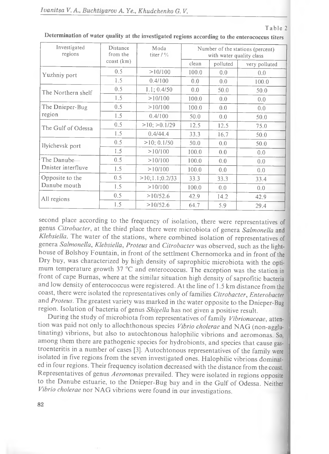|--|--|--|--|--|--|

| Investigated<br>regions | Distance<br>from the  | Moda<br>titer $/$ % |       | with water quality class | Number of the stations (percent) |
|-------------------------|-----------------------|---------------------|-------|--------------------------|----------------------------------|
|                         | $\cos\left(km\right)$ |                     | clean | polluted                 | very polluted                    |
| Yuzhniy port            | 0.5                   | >10/100             | 100.0 | 0.0                      | 0.0                              |
|                         | 1.5                   | 0.4/100             | 0.0   | 0.0                      | 100.0                            |
| The Northern shelf      | 0.5                   | 1.1; 0.4/50         | 0.0   | 50.0                     | 50.0                             |
|                         | 1.5                   | >10/100             | 100.0 | 0.0                      | 0.0                              |
| The Dnieper-Bug         | 0.5                   | >10/100             | 100.0 | 0.0                      | 0.0                              |
| region                  | 1.5                   | 0.4/100             | 50.0  | 0.0                      | 50.0                             |
| The Gulf of Odessa      | 0.5                   | $>10$ ; $>0.1/29$   | 12.5  | 12.5                     | 75.0                             |
|                         | 1.5                   | 0.4/44.4            | 33.3  | 16.7                     | 50.0                             |
| Ilyichevsk port         | 0.5                   | $>10$ ; 0.1/50      | 50.0  | 0.0                      | 50.0                             |
|                         | 1.5                   | >10/100             | 100.0 | 0.0                      | 0.0                              |
| The Danube-             | 0.5                   | >10/100             | 100.0 | 0.0                      | 0.0                              |
| Dnister interfluve      | 1.5                   | >10/100             | 100.0 | 0.0                      | 0.0                              |
| Opposite to the         | 0.5                   | >10;1.1;0.2/33      | 33.3  | 33.3                     | 33.4                             |
| Danube mouth            | 1.5                   | >10/100             | 100.0 | 0.0                      | 0.0                              |
| All regions             | 0.5                   | >10/52.6            | 42.9  | 14.2                     | 42.9                             |
|                         | 1.5                   | >10/52.6            | 64.7  | 5.9                      | 29.4                             |

**Determination of water quality at the investigated regions according to the enterococcus titers**

second place according to the frequency of isolation, there were representatives of genus *Citrobacter*, at the third place there were microbiota of genera *Salmonella* and *Klebsiella*. The water of the stations, where combined isolation of representatives of genera *Salmonella*, *Klebsiella*, *Proteus* and *Citrobacter* was observed, such as the lighthouse of Bolshoy Fountain, in front of the settlment Chernomorka and in front of the Dry buy, was characterized by high density of saprophitic microbiota with the optimum temperature growth 37 °C and enterococcus. The exception was the station in front of cape Burnas, where at the similar situation high density of saprofitic bacteria and low density of enterococcus were registered. At the line of 1.5 km distance from the coast, there were isolated the representatives only of families Citrobacter, Enterobacter and *Proteus*. The greatest variety was marked in the water opposite to the Dnieper-Bug region. Isolation of bacteria of genus *Shigella* has not given a positive result.

During the study of microbiota from representatives of family *Vibrionaceae*, attention was paid not only to allochthonous species Vibrio cholerae and NAG (non-agglutinating) vibrions, but also to autochtonous halophilic vibrions and aeromonas. So, among them there are pathogenic species for hydrobionts, and species that cause gastroenteritis in a number of cases [3]. Autochtonous representatives of the family were isolated in five regions from the seven investigated ones. Halophilic vibrions dominated in four regions. Their frequency isolation decreased with the distance from the coast. Representatives of genus *Aeromonas* prevailed. They were isolated in regions opposite to the Danube estuarie, to the Dnieper-Bug bay and in the Gulf of Odessa. Neither *Vibrio cholerae* nor NAG vibrions were found in our investigations.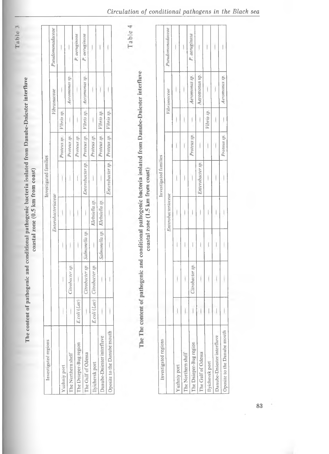| Investigated regions        |              |                 |                |                    | Investigated families |             |            |               |                  |
|-----------------------------|--------------|-----------------|----------------|--------------------|-----------------------|-------------|------------|---------------|------------------|
|                             |              |                 |                | Enterobacteriaceae |                       |             |            | Vibrionaceae  | Pseudomonadaceae |
| Yuzhniy port                |              |                 |                |                    |                       | Proteus sp. | Vibrio sp. |               |                  |
| The Northern shelf          |              | itrobacter sp.  |                |                    |                       | Proteus sp. |            | Aeromonas sp. |                  |
| The Dnieper-Bug region      | E.coli (Lac) |                 |                |                    |                       | Proteus sp. |            |               | P. aeruginosa    |
| The Gulf of Odessa          |              | Citrobacter sp. | Salmonella sp. |                    | Enterobacter sp.      | Proteus sp. | Vibrio sp. | Aeromonas sp. | P. aeruginosa    |
| Ilyichevsk port             | E.coli (Lac) | Citrobacter sp. |                | Klebsiella sp      |                       | Proteus sp. |            |               |                  |
| Danube-Dniester interfluve  |              |                 | Salmonella sp. | Klebsiella sp.     |                       | Proteus sp. | Vibrio sp. |               |                  |
| Oposite to the Danube mouth |              |                 |                |                    | Enterobacter sp.      | Proteus sp. | Vibrio sp. |               |                  |
| Investigated regions        |              |                 |                |                    | Investigated families |             |            |               |                  |
|                             |              |                 |                |                    |                       |             |            |               |                  |
|                             |              |                 |                | Enterobacteriaceae |                       |             |            | Vibrionaceae  | Pseudomonadaceae |
| Yuzhniy port                |              |                 |                |                    |                       |             |            |               |                  |
| The Northern shelf          |              |                 |                |                    |                       |             |            |               |                  |
| The Dnieper-Bug region      |              | Cirobacter sp.  |                |                    |                       | Proteus sp. |            | Aeromonas sp. | P. aeruginosa    |
| The Gulf of Odessa          |              |                 |                |                    | Enterobacter sp.      |             |            | Aeromonas sp. |                  |
| Ilyichevsk port             |              |                 |                |                    |                       |             | Vibrio sp. |               |                  |
| Danube-Dniester interfluve  |              |                 |                |                    |                       |             |            |               |                  |

ï  $\overline{1}$ 

Aeromonas sp. ĭ

Proteus sp. Ī.

ł ł

Ţ  $\overline{1}$ 

 $\bar{1}$ l

 $\mathbf{I}$ 

Oposite to the Danube mouth

Table 3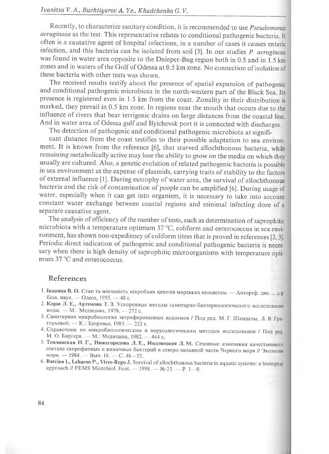Recently, to characterize sanitary condition, it is recommended to use *Pseudomonas aeruginosa* as the test. This representative relates to conditional pathogenic bacteria. It often is a causative agent of hospital infections, in a number of cases it causes enteric infection, and this bacteria can be isolated from soil [3]. In our studies *P. aeruginosa* was found in water area opposite to the Dnieper-Bug region both in 0.5 and in 1.5 km zones and in waters of the Gulf of Odessa at 0.5 km zone. No connection of isolation of these bacteria with other tests was shown.

The received results testify about the presence of spatial expansion of pathogenic and conditional pathogenic microbiota in the north-western part of the Black Sea. Its presence is registered even in 1.5 km from the coast. Zonality in their distribution is marked, they prevail in 0.5 km zone. In regions near the mouth that occurs due to the influence of rivers that bear terrigenic drains on large distances from the coastal line. And in water area of Odessa gulf and Ilyichevsk port it is connected with discharges.

The detection of pathogenic and conditional pathogenic microbiota at signifi-

cant distance from the coast testifies to their possible adaptation to sea environment. It is known from the reference [6], that starved allochthonous bacteria, while remaining metabolically active may lose the ability to grow on the media on which they usually are cultured. Also, a genetic evolution of related pathogenic bacteria is possible in sea environment at the expense of plasmids, carrying traits of stability to the factors of external influence [1]. During eutrophy of water area, the survival of allochthonous bacteria and the risk of contamination of people can be amplified [6]. During usage of water, especially when it can get into organism, it is necessary to take into account constant water exchange between coastal regions and minimal infecting doze of a separate causative agent.

The analysis of efficiency of the number of tests, such as determination of saprophitic microbiota with a temperature optimum 37 °C, coliform and enterococcus in sea environment, has shown non-expediency of coliform titres that is proved in references [2, 3]. Periodic direct indication of pathogenic and conditional pathogenic bacteria is necessary when there is high density of saprophitic microorganisms with temperature optimum 37 °C and enterococcus.

### **References**

- 1. **Іваниця В. О.** Стан та мінливість мікробних ценозів морських екосистем. Автореф. дис. ... д-р біол. наук. — Одеса, 1995. — 48 с.
- 2. **Корш J1. Е., Артемова Т. 3.** Ускоренные методы санитарно-бактериологического исследования воды. — М.: Медицина, 1978. — 272 с.
- 3. Санитарная микробиология эвтрофированных водоемов / Под ред. М. Г. Ш андалы, JI. В. Григорьевой. — К.: Здоровье, 1985. — 222 с.
- 4. Справочник по микробиологическим и вирусологическим методам исследования / Под ред. М. О. Биргера. — М.: Медицина, 1982. — 464 с.
- **5. Теплинская Н. Г., Нижегородова JI. Е., Нидзвецкая JI. М.** Сезонные изменения качественного состава сапрофитных и кишечных бактерий в северо-западной части Черного моря // Экология моря. — **1984.** — Вып. **18.** — С. **48—52.**
- 6. Barcina I., Lebaron P., Vives-Rego J. Survival of allochthonous bacteria in aquatic systems: a biological approach // FEMS Microbiol. Ecol. — 1998. — № 23. — P. 1-9.